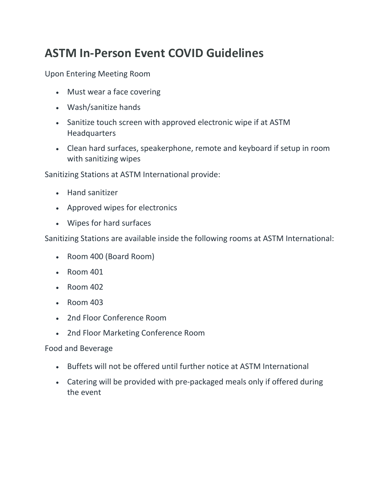## **ASTM In-Person Event COVID Guidelines**

Upon Entering Meeting Room

- Must wear a face covering
- Wash/sanitize hands
- Sanitize touch screen with approved electronic wipe if at ASTM **Headquarters**
- Clean hard surfaces, speakerphone, remote and keyboard if setup in room with sanitizing wipes

Sanitizing Stations at ASTM International provide:

- Hand sanitizer
- Approved wipes for electronics
- Wipes for hard surfaces

Sanitizing Stations are available inside the following rooms at ASTM International:

- Room 400 (Board Room)
- $\cdot$  Room 401
- $\cdot$  Room 402
- $\cdot$  Room 403
- 2nd Floor Conference Room
- 2nd Floor Marketing Conference Room

## Food and Beverage

- Buffets will not be offered until further notice at ASTM International
- Catering will be provided with pre-packaged meals only if offered during the event